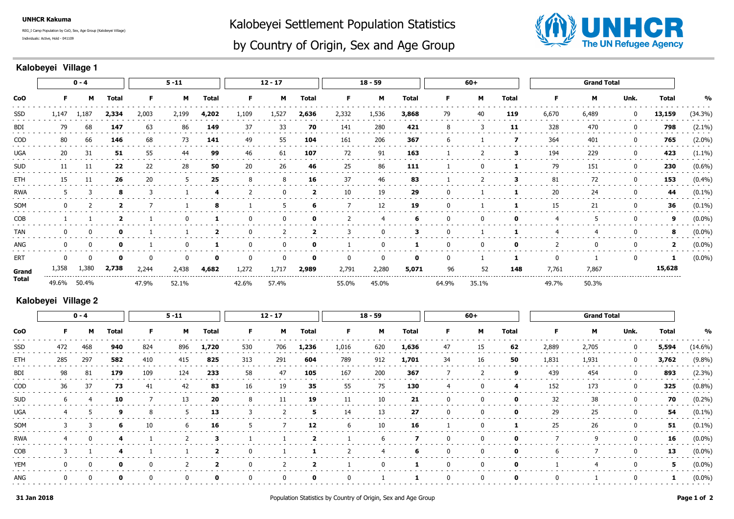**UNHCR Kakuma**

Individuals: Active, Hold - 041109REG\_I Camp Population by CoO, Sex, Age Group (Kalobeyei Village) Kalobeyei Settlement Population Statistics



## by Country of Origin, Sex and Age Group

## **Kalobeyei Village 1**

| <b>CoO</b> | $0 - 4$ |          |              |       | $5 - 11$ |              |          | $12 - 17$    |                |       | $18 - 59$    |              |          | $60+$        |              |       | <b>Grand Total</b> |             |                         |               |
|------------|---------|----------|--------------|-------|----------|--------------|----------|--------------|----------------|-------|--------------|--------------|----------|--------------|--------------|-------|--------------------|-------------|-------------------------|---------------|
|            | F.      | M        | <b>Total</b> | F.    | M        | <b>Total</b> | F.       | M            | Total          | F     | М            | <b>Total</b> | F        | М            | <b>Total</b> | F.    | м                  | Unk.        | <b>Total</b>            | $\frac{0}{0}$ |
| SSD        | 1,147   | 1,187    | 2,334        | 2,003 | 2,199    | 4,202        | 1,109    | 1,527        | 2,636          | 2,332 | 1,536        | 3,868        | 79       | 40           | 119          | 6,670 | 6,489              | 0           | 13,159                  | (34.3%)       |
| BDI        | 79      | 68       | 147          | 63    | 86       | 149          | 37       | 33           | 70             | 141   | 280          | 421          | 8        | 3            | 11           | 328   | 470                | $\mathbf 0$ | 798                     | $(2.1\%)$     |
| <b>COD</b> | 80      | 66       | 146          | 68    | 73       | 141          | 49       | 55           | 104            | 161   | 206          | 367          | -6       |              | 7            | 364   | 401                | 0           | 765                     | $(2.0\%)$     |
| UGA        | 20      | 31       | 51           | 55    | 44       | 99           | 46       | 61           | 107            | 72    | 91           | 163          |          |              | 3            | 194   | 229                | $\mathbf 0$ | 423                     | $(1.1\%)$     |
| <b>SUD</b> | 11      | 11       | 22           | 22    | 28       | 50           | 20       | 26           | 46             | 25    | 86           | 111          |          | 0            |              | 79    | 151                | 0           | 230                     | $(0.6\%)$     |
| ETH        | 15      | 11       | 26           | 20    | 5        | 25           | 8        | 8            | 16             | 37    | 46           | 83           |          | 2            | 3            | 81    | 72                 | $\mathbf 0$ | 153                     | (0.4%)        |
| <b>RWA</b> | .5      | 3        | 8            |       |          |              | 2        | $\mathbf{0}$ | $\overline{2}$ | 10    | 19           | 29           |          |              |              | 20    | 24                 | 0           | 44                      | $(0.1\%)$     |
| SOM        |         |          |              |       |          |              |          | 5            | 6              |       | 12           | 19           |          |              |              | 15    | 21                 | 0           | 36                      | $(0.1\%)$     |
| COB        |         |          | -2           |       | $\Omega$ |              | 0        | 0            | $\mathbf 0$    | 2     | 4            | 6            |          | $\bf{0}$     | $\mathbf 0$  | 4     | -5                 | 0           | 9                       | $(0.0\%)$     |
| <b>TAN</b> |         | 0        | $\mathbf o$  |       |          |              | $\Omega$ |              | 2              | 3     | $\mathbf{0}$ | з            | $\Omega$ |              |              | 4     | 4                  | $\mathbf 0$ | 8                       | $(0.0\%)$     |
| ANG        |         | $\Omega$ | 0            |       | $\Omega$ |              |          | $\Omega$     | 0              |       | $\Omega$     |              | $\Omega$ | $\mathbf{0}$ |              | 2     | $\mathbf{0}$       | $\mathbf 0$ | $\overline{\mathbf{2}}$ | $(0.0\%)$     |
| ERT        |         | $\Omega$ | 0            |       | 0        | 0            |          | $\Omega$     | $\mathbf{o}$   | 0     | $\Omega$     | $\mathbf{o}$ | $\Omega$ |              |              | 0     |                    | $\mathbf 0$ | 1                       | $(0.0\%)$     |
| Grand      | 1,358   | 1,380    | 2,738        | 2,244 | 2,438    | 4,682        | 1,272    | 1,717        | 2,989          | 2,791 | 2,280        | 5,071        | 96       | 52           | 148          | 7,761 | 7,867              |             | 15,628                  |               |
| Total      | 49.6%   | 50.4%    |              | 47.9% | 52.1%    |              | 42.6%    | 57.4%        |                | 55.0% | 45.0%        |              | 64.9%    | 35.1%        |              | 49.7% | 50.3%              |             |                         |               |

## **Kalobeyei Village 2**

|            | $0 - 4$      |     |              | $5 - 11$ |                |                | $12 - 17$   |     |                | $18 - 59$ |                |       | $60+$       |    |              | <b>Grand Total</b> |       |              |              |            |
|------------|--------------|-----|--------------|----------|----------------|----------------|-------------|-----|----------------|-----------|----------------|-------|-------------|----|--------------|--------------------|-------|--------------|--------------|------------|
| CoO        | F.           | M   | <b>Total</b> | F.       | M              | Total          | F.          | M   | Total          | F.        | M              | Total | F.          | M  | Total        | F.                 | M     | Unk.         | <b>Total</b> | %          |
| SSD        | 472          | 468 | 940          | 824      | 896            | 1,720          | 530         | 706 | 1,236          | 1,016     | 620            | 1,636 | 47          | 15 | 62           | 2,889              | 2,705 | 0            | 5,594        | $(14.6\%)$ |
| ETH        | 285          | 297 | 582          | 410      | 415            | 825            | 313         | 291 | 604            | 789       | 912            | 1,701 | 34          | 16 | 50           | 1,831              | 1,931 | $\bf{0}$     | 3,762        | $(9.8\%)$  |
| BDI        | 98           | 81  | 179          | 109      | 124            | 233            | 58          | 47  | 105            | 167       | 200            | 367   |             |    | 9            | 439                | 454   | $\bf{0}$     | 893          | $(2.3\%)$  |
| COD        | 36           | 37  | 73           | 41       | 42             | 83             | 16          | 19  | 35             | 55        | 75             | 130   | 4           | 0  | 4            | 152                | 173   | $\mathbf{0}$ | 325          | $(0.8\%)$  |
| <b>SUD</b> | b            | 4   | 10           |          | 13             | 20             | 8           | 11  | 19             | 11        | 10             | 21    | $\mathbf 0$ | 0  | $\mathbf{o}$ | 32                 | 38    | 0            | 70           | $(0.2\%)$  |
| <b>UGA</b> |              | 5   | 9            | 8        | 5              | 13             |             |     | 5              | 14        | 13             | 27    | 0           | 0  | $\mathbf{o}$ | 29                 | 25    | 0            | 54           | $(0.1\%)$  |
| SOM        |              |     | 6            | 10       | 6              | 16             | 5           |     | 12             | 6         | 10             | 16    |             | 0  |              | 25                 | 26    | 0            | 51           | $(0.1\%)$  |
| <b>RWA</b> | 4            | 0   | -4           |          | $\overline{2}$ | 3              |             |     | $\overline{2}$ |           | 6              | 7     | 0           | 0  | 0            |                    | 9     | $\mathbf 0$  | 16           | $(0.0\%)$  |
| <b>COB</b> |              |     | -4           |          |                | $\overline{2}$ | $\mathbf 0$ |     |                |           | $\overline{4}$ | 6     | 0           | 0  | 0            | 6                  |       | 0            | 13           | $(0.0\%)$  |
| <b>YEM</b> | $\mathbf{0}$ | 0   | $\mathbf 0$  | 0        | 2              | 2              | $\mathbf 0$ |     | 2              |           | 0              |       | 0           | 0  | 0            |                    | 4     | 0            | 5            | $(0.0\%)$  |
| ANG        | $\mathbf{0}$ |     | $\mathbf{o}$ |          | 0              | 0              | $\mathbf 0$ | 0   | 0              |           |                |       | $\mathbf 0$ | 0  | 0            |                    |       | 0            | 1            | $(0.0\%)$  |